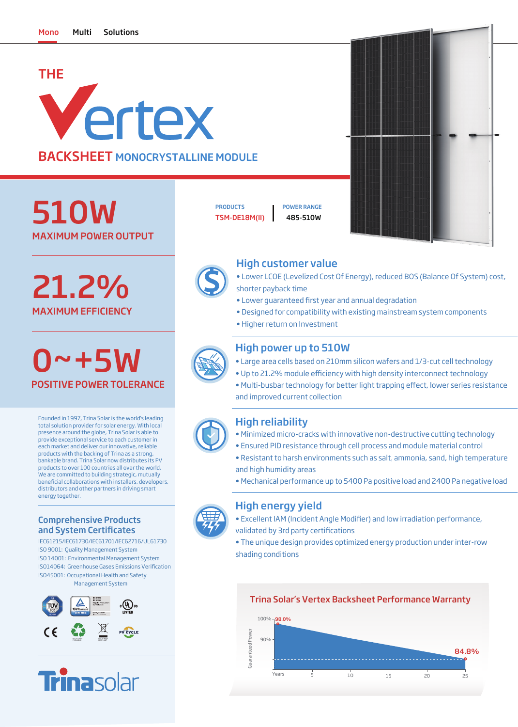# THE Vertex BACKSHEET MONOCRYSTALLINE MODULE

MAXIMUM POWER OUTPUT 510W

MAXIMUM EFFICIENCY 21.2%

0~+5W POSITIVE POWER TOLERANCE

Founded in 1997, Trina Solar is the world's leading total solution provider for solar energy. With local presence around the globe, Trina Solar is able to provide exceptional service to each customer in each market and deliver our innovative, reliable products with the backing of Trina as a strong, bankable brand. Trina Solar now distributes its PV products to over 100 countries all over the world. We are committed to building strategic, mutually beneficial collaborations with installers, developers, distributors and other partners in driving smart energy together.

#### Comprehensive Products and System Certificates

IEC61215/IEC61730/IEC61701/IEC62716/UL61730 ISO 9001: Quality Management System ISO 14001: Environmental Management System ISO45001: Occupational Health and Safety Management System ISO14064: Greenhouse Gases Emissions Verification





PRODUCTS **I** POWER RANGE

TSM-DE18M(II) 485-510W





### High customer value

- Lower LCOE (Levelized Cost Of Energy), reduced BOS (Balance Of System) cost, shorter payback time
- Lower quaranteed first year and annual degradation
- Designed for compatibility with existing mainstream system components
- Higher return on Investment

# High power up to 510W

- Large area cells based on 210mm silicon wafers and 1/3-cut cell technology
- Up to 21.2% module efficiency with high density interconnect technology
- Multi-busbar technology for better light trapping effect, lower series resistance and improved current collection

## High reliability

- Minimized micro-cracks with innovative non-destructive cutting technology
- Ensured PID resistance through cell process and module material control
- Resistant to harsh environments such as salt, ammonia, sand, high temperature and high humidity areas
- Mechanical performance up to 5400 Pa positive load and 2400 Pa negative load

#### High energy yield

- Excellent IAM (Incident Angle Modifier) and low irradiation performance, validated by 3rd party certifications
- The unique design provides optimized energy production under inter-row
- shading conditions

#### Trina Solar's Vertex Backsheet Performance Warranty